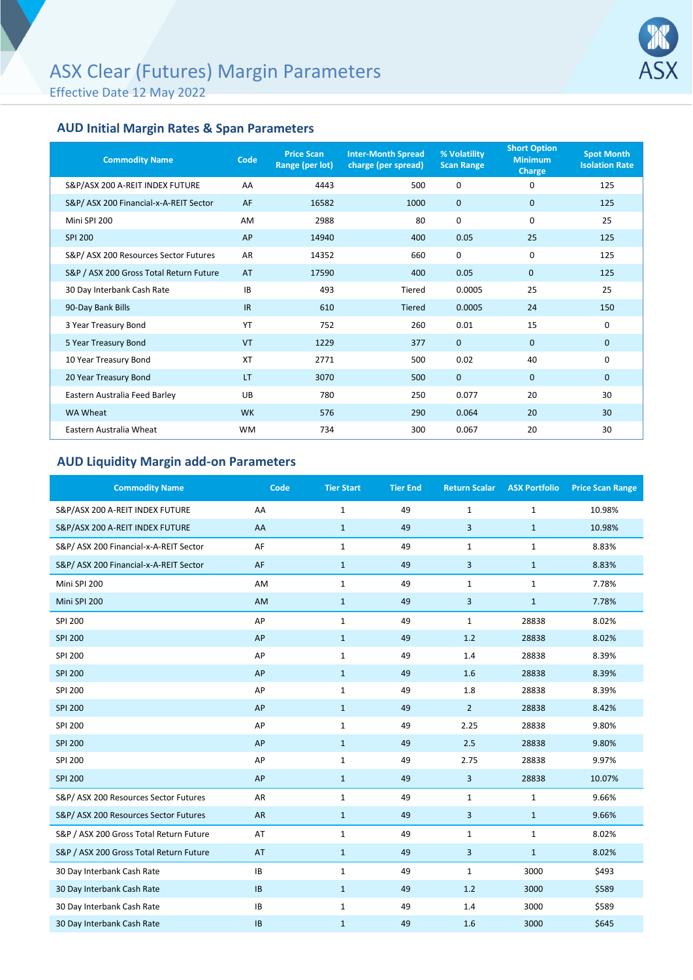Effective Date 12 May 2022



## **AUD Initial Margin Rates & Span Parameters**

| <b>Commodity Name</b>                   | Code      | <b>Price Scan</b><br>Range (per lot) | <b>Inter-Month Spread</b><br>charge (per spread) | % Volatility<br><b>Scan Range</b> | <b>Short Option</b><br><b>Minimum</b><br><b>Charge</b> | <b>Spot Month</b><br><b>Isolation Rate</b> |
|-----------------------------------------|-----------|--------------------------------------|--------------------------------------------------|-----------------------------------|--------------------------------------------------------|--------------------------------------------|
| S&P/ASX 200 A-REIT INDEX FUTURE         | AA        | 4443                                 | 500                                              | 0                                 | 0                                                      | 125                                        |
| S&P/ ASX 200 Financial-x-A-REIT Sector  | AF        | 16582                                | 1000                                             | $\mathbf{0}$                      | $\mathbf{0}$                                           | 125                                        |
| Mini SPI 200                            | AM        | 2988                                 | 80                                               | $\mathbf 0$                       | 0                                                      | 25                                         |
| <b>SPI 200</b>                          | AP        | 14940                                | 400                                              | 0.05                              | 25                                                     | 125                                        |
| S&P/ASX 200 Resources Sector Futures    | <b>AR</b> | 14352                                | 660                                              | $\mathbf 0$                       | 0                                                      | 125                                        |
| S&P / ASX 200 Gross Total Return Future | AT        | 17590                                | 400                                              | 0.05                              | $\mathbf 0$                                            | 125                                        |
| 30 Day Interbank Cash Rate              | IB        | 493                                  | Tiered                                           | 0.0005                            | 25                                                     | 25                                         |
| 90-Day Bank Bills                       | <b>IR</b> | 610                                  | <b>Tiered</b>                                    | 0.0005                            | 24                                                     | 150                                        |
| 3 Year Treasury Bond                    | YT        | 752                                  | 260                                              | 0.01                              | 15                                                     | 0                                          |
| 5 Year Treasury Bond                    | VT        | 1229                                 | 377                                              | $\mathbf{0}$                      | $\mathbf{0}$                                           | 0                                          |
| 10 Year Treasury Bond                   | <b>XT</b> | 2771                                 | 500                                              | 0.02                              | 40                                                     | 0                                          |
| 20 Year Treasury Bond                   | LT        | 3070                                 | 500                                              | $\mathbf 0$                       | $\mathbf{0}$                                           | 0                                          |
| Eastern Australia Feed Barley           | UB        | 780                                  | 250                                              | 0.077                             | 20                                                     | 30                                         |
| WA Wheat                                | <b>WK</b> | 576                                  | 290                                              | 0.064                             | 20                                                     | 30                                         |
| Eastern Australia Wheat                 | <b>WM</b> | 734                                  | 300                                              | 0.067                             | 20                                                     | 30                                         |

## **AUD Liquidity Margin add-on Parameters**

| <b>Commodity Name</b>                   | Code      | <b>Tier Start</b> | <b>Tier End</b> | <b>Return Scalar</b> | <b>ASX Portfolio</b> | <b>Price Scan Range</b> |
|-----------------------------------------|-----------|-------------------|-----------------|----------------------|----------------------|-------------------------|
| S&P/ASX 200 A-REIT INDEX FUTURE         | AA        | $\mathbf{1}$      | 49              | $\mathbf{1}$         | $\mathbf{1}$         | 10.98%                  |
| S&P/ASX 200 A-REIT INDEX FUTURE         | AA        | $1\,$             | 49              | $\overline{3}$       | $\mathbf{1}$         | 10.98%                  |
| S&P/ ASX 200 Financial-x-A-REIT Sector  | AF        | $\mathbf{1}$      | 49              | $\mathbf{1}$         | $\mathbf{1}$         | 8.83%                   |
| S&P/ ASX 200 Financial-x-A-REIT Sector  | AF        | $\mathbf{1}$      | 49              | 3                    | $\mathbf{1}$         | 8.83%                   |
| Mini SPI 200                            | AM        | $\mathbf{1}$      | 49              | $\mathbf{1}$         | $\mathbf{1}$         | 7.78%                   |
| Mini SPI 200                            | AM        | $\mathbf{1}$      | 49              | 3                    | $\mathbf{1}$         | 7.78%                   |
| SPI 200                                 | AP        | $\mathbf{1}$      | 49              | $\mathbf{1}$         | 28838                | 8.02%                   |
| <b>SPI 200</b>                          | AP        | $\mathbf{1}$      | 49              | 1.2                  | 28838                | 8.02%                   |
| SPI 200                                 | AP        | $\mathbf{1}$      | 49              | 1.4                  | 28838                | 8.39%                   |
| <b>SPI 200</b>                          | AP        | $\mathbf{1}$      | 49              | 1.6                  | 28838                | 8.39%                   |
| SPI 200                                 | AP        | $\mathbf{1}$      | 49              | 1.8                  | 28838                | 8.39%                   |
| <b>SPI 200</b>                          | AP        | $\mathbf{1}$      | 49              | $\overline{2}$       | 28838                | 8.42%                   |
| SPI 200                                 | AP        | $\mathbf{1}$      | 49              | 2.25                 | 28838                | 9.80%                   |
| <b>SPI 200</b>                          | AP        | $\mathbf{1}$      | 49              | 2.5                  | 28838                | 9.80%                   |
| SPI 200                                 | AP        | $\mathbf{1}$      | 49              | 2.75                 | 28838                | 9.97%                   |
| <b>SPI 200</b>                          | AP        | $\mathbf{1}$      | 49              | 3                    | 28838                | 10.07%                  |
| S&P/ ASX 200 Resources Sector Futures   | AR        | $\mathbf 1$       | 49              | $\mathbf{1}$         | $\mathbf{1}$         | 9.66%                   |
| S&P/ ASX 200 Resources Sector Futures   | <b>AR</b> | $\mathbf{1}$      | 49              | 3                    | $\mathbf{1}$         | 9.66%                   |
| S&P / ASX 200 Gross Total Return Future | AT        | $\mathbf{1}$      | 49              | $\mathbf{1}$         | $\mathbf{1}$         | 8.02%                   |
| S&P / ASX 200 Gross Total Return Future | AT        | $\mathbf{1}$      | 49              | 3                    | $\mathbf{1}$         | 8.02%                   |
| 30 Day Interbank Cash Rate              | IB        | $\mathbf{1}$      | 49              | $\mathbf{1}$         | 3000                 | \$493                   |
| 30 Day Interbank Cash Rate              | IB        | $\mathbf{1}$      | 49              | 1.2                  | 3000                 | \$589                   |
| 30 Day Interbank Cash Rate              | IB        | $\mathbf{1}$      | 49              | 1.4                  | 3000                 | \$589                   |
| 30 Day Interbank Cash Rate              | <b>IB</b> | $\mathbf{1}$      | 49              | 1.6                  | 3000                 | \$645                   |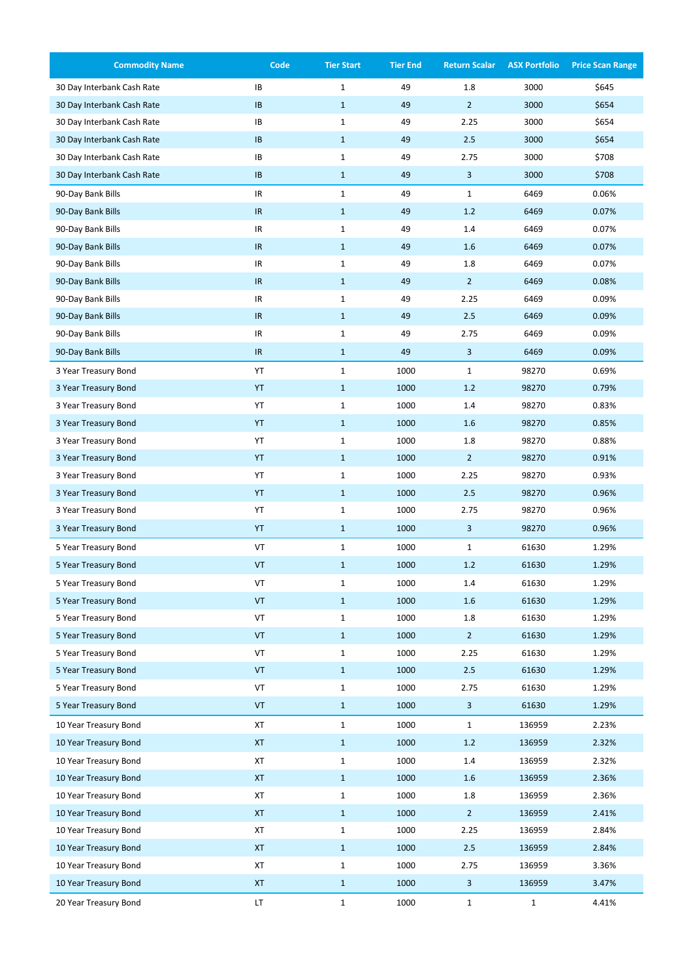| <b>Commodity Name</b>      | Code                              | <b>Tier Start</b> | <b>Tier End</b> | <b>Return Scalar</b>    | <b>ASX Portfolio</b> | <b>Price Scan Range</b> |
|----------------------------|-----------------------------------|-------------------|-----------------|-------------------------|----------------------|-------------------------|
| 30 Day Interbank Cash Rate | IB                                | $\mathbf 1$       | 49              | 1.8                     | 3000                 | \$645                   |
| 30 Day Interbank Cash Rate | IB                                | $\mathbf{1}$      | 49              | $\overline{2}$          | 3000                 | \$654                   |
| 30 Day Interbank Cash Rate | IB                                | $\mathbf 1$       | 49              | 2.25                    | 3000                 | \$654                   |
| 30 Day Interbank Cash Rate | IB                                | $\mathbf{1}$      | 49              | 2.5                     | 3000                 | \$654                   |
| 30 Day Interbank Cash Rate | IB                                | $\mathbf 1$       | 49              | 2.75                    | 3000                 | \$708                   |
| 30 Day Interbank Cash Rate | IB                                | $\mathbf{1}$      | 49              | 3                       | 3000                 | \$708                   |
| 90-Day Bank Bills          | $\ensuremath{\mathsf{IR}}\xspace$ | $\mathbf{1}$      | 49              | $\mathbf{1}$            | 6469                 | 0.06%                   |
| 90-Day Bank Bills          | IR                                | $\mathbf{1}$      | 49              | 1.2                     | 6469                 | 0.07%                   |
| 90-Day Bank Bills          | IR                                | $\mathbf{1}$      | 49              | 1.4                     | 6469                 | 0.07%                   |
| 90-Day Bank Bills          | IR                                | $\mathbf{1}$      | 49              | 1.6                     | 6469                 | 0.07%                   |
| 90-Day Bank Bills          | $\ensuremath{\mathsf{IR}}\xspace$ | $\mathbf{1}$      | 49              | 1.8                     | 6469                 | 0.07%                   |
| 90-Day Bank Bills          | IR                                | $\mathbf{1}$      | 49              | $\overline{2}$          | 6469                 | 0.08%                   |
| 90-Day Bank Bills          | IR                                | $\mathbf{1}$      | 49              | 2.25                    | 6469                 | 0.09%                   |
| 90-Day Bank Bills          | IR                                | $\mathbf{1}$      | 49              | 2.5                     | 6469                 | 0.09%                   |
| 90-Day Bank Bills          | IR                                | $\mathbf{1}$      | 49              | 2.75                    | 6469                 | 0.09%                   |
| 90-Day Bank Bills          | IR                                | $\mathbf{1}$      | 49              | 3                       | 6469                 | 0.09%                   |
| 3 Year Treasury Bond       | YT                                | $\mathbf 1$       | 1000            | $\mathbf{1}$            | 98270                | 0.69%                   |
| 3 Year Treasury Bond       | YT                                | $\mathbf{1}$      | 1000            | 1.2                     | 98270                | 0.79%                   |
| 3 Year Treasury Bond       | YT                                | $\mathbf 1$       | 1000            | 1.4                     | 98270                | 0.83%                   |
| 3 Year Treasury Bond       | YT                                | $\mathbf{1}$      | 1000            | 1.6                     | 98270                | 0.85%                   |
| 3 Year Treasury Bond       | YT                                | $\mathbf 1$       | 1000            | 1.8                     | 98270                | 0.88%                   |
| 3 Year Treasury Bond       | YT                                | $\mathbf{1}$      | 1000            | $\overline{2}$          | 98270                | 0.91%                   |
| 3 Year Treasury Bond       | YT                                | $\mathbf 1$       | 1000            | 2.25                    | 98270                | 0.93%                   |
| 3 Year Treasury Bond       | YT                                | $\mathbf{1}$      | 1000            | 2.5                     | 98270                | 0.96%                   |
| 3 Year Treasury Bond       | YT                                | $\mathbf 1$       | 1000            | 2.75                    | 98270                | 0.96%                   |
| 3 Year Treasury Bond       | YT                                | $\mathbf{1}$      | 1000            | 3                       | 98270                | 0.96%                   |
| 5 Year Treasury Bond       | VT                                | $\mathbf 1$       | 1000            | $\mathbf 1$             | 61630                | 1.29%                   |
| 5 Year Treasury Bond       | VT                                | $\mathbf{1}$      | 1000            | 1.2                     | 61630                | 1.29%                   |
| 5 Year Treasury Bond       | VT                                | $\mathbf 1$       | 1000            | 1.4                     | 61630                | 1.29%                   |
| 5 Year Treasury Bond       | VT                                | $\mathbf{1}$      | 1000            | 1.6                     | 61630                | 1.29%                   |
| 5 Year Treasury Bond       | VT                                | $\mathbf 1$       | 1000            | 1.8                     | 61630                | 1.29%                   |
| 5 Year Treasury Bond       | VT                                | $\mathbf{1}$      | 1000            | $\overline{2}$          | 61630                | 1.29%                   |
| 5 Year Treasury Bond       | VT                                | $\mathbf 1$       | 1000            | 2.25                    | 61630                | 1.29%                   |
| 5 Year Treasury Bond       | VT                                | $\mathbf{1}$      | 1000            | 2.5                     | 61630                | 1.29%                   |
| 5 Year Treasury Bond       | VT                                | $\mathbf 1$       | 1000            | 2.75                    | 61630                | 1.29%                   |
| 5 Year Treasury Bond       | VT                                | $\mathbf{1}$      | 1000            | $\overline{\mathbf{3}}$ | 61630                | 1.29%                   |
| 10 Year Treasury Bond      | XT                                | $\mathbf 1$       | 1000            | $\mathbf{1}$            | 136959               | 2.23%                   |
| 10 Year Treasury Bond      | <b>XT</b>                         | $\mathbf{1}$      | 1000            | $1.2\,$                 | 136959               | 2.32%                   |
| 10 Year Treasury Bond      | XT                                | $\mathbf{1}$      | 1000            | 1.4                     | 136959               | 2.32%                   |
| 10 Year Treasury Bond      | $\pmb{\mathsf{XT}}$               | $\mathbf{1}$      | 1000            | 1.6                     | 136959               | 2.36%                   |
| 10 Year Treasury Bond      | XT                                | $\mathbf 1$       | 1000            | 1.8                     | 136959               | 2.36%                   |
| 10 Year Treasury Bond      | $\pmb{\mathsf{XT}}$               | $\mathbf{1}$      | 1000            | $\overline{2}$          | 136959               | 2.41%                   |
| 10 Year Treasury Bond      | ХT                                | $\mathbf{1}$      | 1000            | 2.25                    | 136959               | 2.84%                   |
| 10 Year Treasury Bond      | <b>XT</b>                         | $\mathbf{1}$      | 1000            | 2.5                     | 136959               | 2.84%                   |
| 10 Year Treasury Bond      | XT                                | $\mathbf 1$       | 1000            | 2.75                    | 136959               | 3.36%                   |
| 10 Year Treasury Bond      | XT                                | $\mathbf{1}$      | 1000            | 3                       | 136959               | 3.47%                   |
| 20 Year Treasury Bond      | LT                                | $\mathbf{1}$      | 1000            | $\mathbf{1}$            | $\mathbf 1$          | 4.41%                   |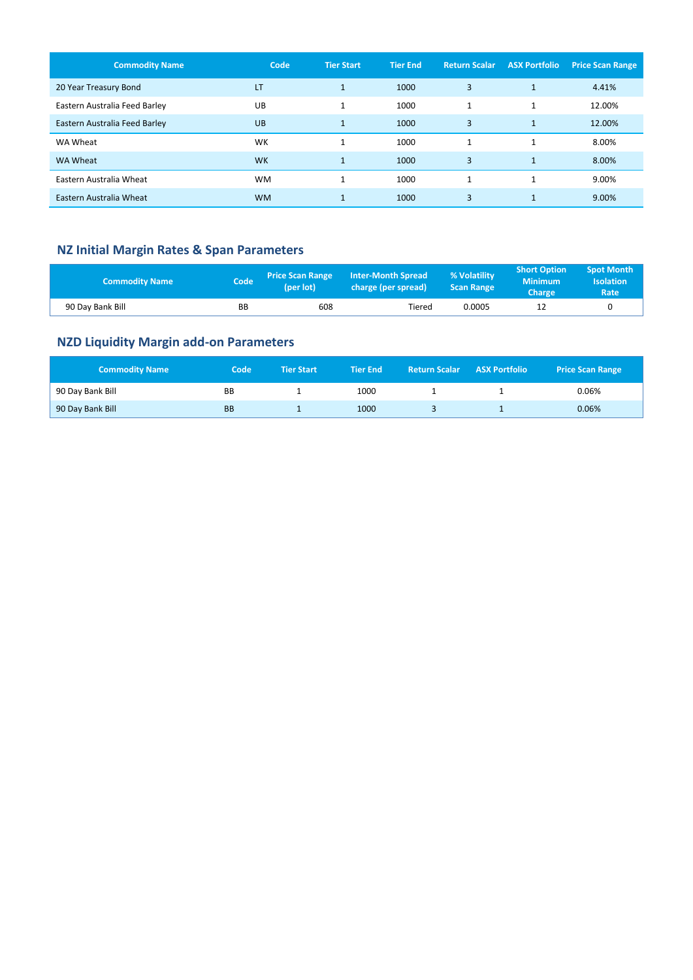| <b>Commodity Name</b>         | Code      | <b>Tier Start</b> | <b>Tier End</b> | <b>Return Scalar</b> | <b>ASX Portfolio</b> | <b>Price Scan Range</b> |
|-------------------------------|-----------|-------------------|-----------------|----------------------|----------------------|-------------------------|
| 20 Year Treasury Bond         | LT        | $\mathbf{1}$      | 1000            | 3                    | $\mathbf{1}$         | 4.41%                   |
| Eastern Australia Feed Barley | UB        | 1                 | 1000            | $\mathbf{1}$         | 1                    | 12.00%                  |
| Eastern Australia Feed Barley | UB        | $\mathbf{1}$      | 1000            | 3                    | $\mathbf{1}$         | 12.00%                  |
| WA Wheat                      | WK        | $\mathbf{1}$      | 1000            | $\mathbf{1}$         | $\mathbf{1}$         | 8.00%                   |
| WA Wheat                      | <b>WK</b> | $\mathbf{1}$      | 1000            | 3                    | $\mathbf{1}$         | 8.00%                   |
| Eastern Australia Wheat       | <b>WM</b> | 1                 | 1000            | $\mathbf{A}$         | $\mathbf{1}$         | 9.00%                   |
| Eastern Australia Wheat       | <b>WM</b> | $\mathbf{1}$      | 1000            | 3                    | $\mathbf{1}$         | 9.00%                   |

## **NZ Initial Margin Rates & Span Parameters**

| <b>Commodity Name</b> | Code | <b>Price Scan Range</b><br>(per lot) | <b>Inter-Month Spread</b><br>charge (per spread) | % Volatility<br><b>Scan Range</b> | <b>Short Option</b><br><b>Minimum</b><br>Charge | <b>Spot Month</b><br><b>Isolation</b><br>Rate |
|-----------------------|------|--------------------------------------|--------------------------------------------------|-----------------------------------|-------------------------------------------------|-----------------------------------------------|
| 90 Day Bank Bill      | BВ   | 608                                  | Tiered                                           | 0.0005                            |                                                 |                                               |

# **NZD Liquidity Margin add-on Parameters**

| <b>Commodity Name</b> | Code      | <b>Tier Start</b> | <b>Tier End</b> | <b>Return Scalar ASX Portfolio</b> | <b>Price Scan Range</b> |
|-----------------------|-----------|-------------------|-----------------|------------------------------------|-------------------------|
| 90 Day Bank Bill      | BB        |                   | 1000            |                                    | 0.06%                   |
| 90 Day Bank Bill      | <b>BB</b> |                   | 1000            |                                    | 0.06%                   |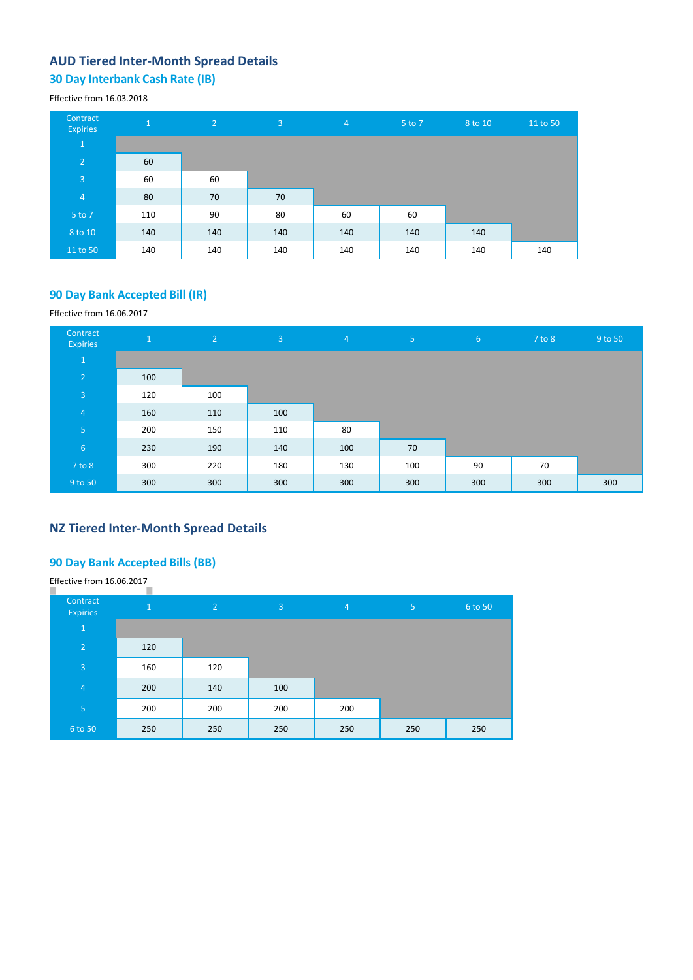## **AUD Tiered Inter-Month Spread Details**

# **30 Day Interbank Cash Rate (IB)**

#### Effective from 16.03.2018

| Contract<br><b>Expiries</b> | $\mathbf{1}$ | $\sqrt{2}$ | $\overline{3}$ | $\overline{4}$ | 5 to 7 | 8 to 10 | 11 to 50 |
|-----------------------------|--------------|------------|----------------|----------------|--------|---------|----------|
| $\mathbf{1}$                |              |            |                |                |        |         |          |
| $\overline{2}$              | 60           |            |                |                |        |         |          |
| 3                           | 60           | 60         |                |                |        |         |          |
| $\overline{4}$              | 80           | 70         | 70             |                |        |         |          |
| 5 to 7                      | 110          | 90         | 80             | 60             | 60     |         |          |
| 8 to 10                     | 140          | 140        | 140            | 140            | 140    | 140     |          |
| 11 to 50                    | 140          | 140        | 140            | 140            | 140    | 140     | 140      |

### **90 Day Bank Accepted Bill (IR)**

#### Effective from 16.06.2017

| Contract<br><b>Expiries</b> | $\mathbf{1}$ | 2 <sup>1</sup> | 3   | $\overline{4}$ | 5 <sup>1</sup> | 6 <sup>1</sup> | $7$ to $8$ | 9 to 50 |
|-----------------------------|--------------|----------------|-----|----------------|----------------|----------------|------------|---------|
| $\mathbf{1}$                |              |                |     |                |                |                |            |         |
| $\overline{2}$              | 100          |                |     |                |                |                |            |         |
| $\overline{3}$              | 120          | 100            |     |                |                |                |            |         |
| $\overline{4}$              | 160          | 110            | 100 |                |                |                |            |         |
| 5 <sub>o</sub>              | 200          | 150            | 110 | 80             |                |                |            |         |
| $6\phantom{1}6$             | 230          | 190            | 140 | 100            | 70             |                |            |         |
| 7 to 8                      | 300          | 220            | 180 | 130            | 100            | 90             | 70         |         |
| 9 to 50                     | 300          | 300            | 300 | 300            | 300            | 300            | 300        | 300     |

### **NZ Tiered Inter-Month Spread Details**

#### **90 Day Bank Accepted Bills (BB)**

Effective from 16.06.2017

| Contract<br><b>Expiries</b> | $\mathbf{1}$ | $\overline{2}$ | 3   | $\overline{4}$ | 5   | 6 to 50 |
|-----------------------------|--------------|----------------|-----|----------------|-----|---------|
| $\mathbf{1}$                |              |                |     |                |     |         |
| $\overline{2}$              | 120          |                |     |                |     |         |
| $\overline{3}$              | 160          | 120            |     |                |     |         |
| $\overline{4}$              | 200          | 140            | 100 |                |     |         |
| 5                           | 200          | 200            | 200 | 200            |     |         |
| 6 to 50                     | 250          | 250            | 250 | 250            | 250 | 250     |